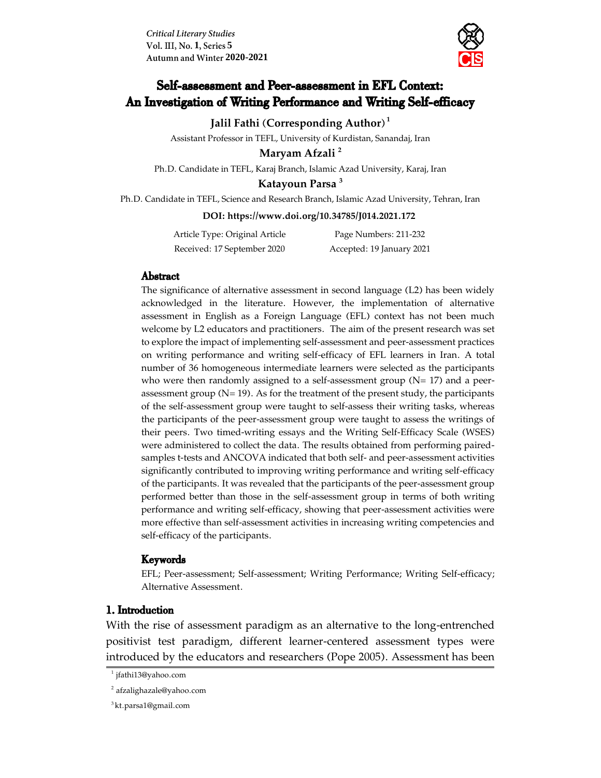**Critical Literary Studies Vol. III, No. 1, Series 5 2020-2021**



# Self-assessment and Peer-assessment in EFL Context: An Investigation of Writing Performance and Writing Self-efficacy

**Jalil Fathi (Corresponding Author) <sup>1</sup>**

Assistant Professor in TEFL, University of Kurdistan, Sanandaj, Iran

**Maryam Afzali <sup>2</sup>**

Ph.D. Candidate in TEFL, Karaj Branch, Islamic Azad University, Karaj, Iran

**Katayoun Parsa <sup>3</sup>**

Ph.D. Candidate in TEFL, Science and Research Branch, Islamic Azad University, Tehran, Iran

#### **DOI:<https://www.doi.org/10.34785/J014.2021.172>**

| Article Type: Original Article | Page Numbers: 211-232     |
|--------------------------------|---------------------------|
| Received: 17 September 2020    | Accepted: 19 January 2021 |

#### Abstract

The significance of alternative assessment in second language (L2) has been widely acknowledged in the literature. However, the implementation of alternative assessment in English as a Foreign Language (EFL) context has not been much welcome by L2 educators and practitioners. The aim of the present research was set to explore the impact of implementing self-assessment and peer-assessment practices on writing performance and writing self-efficacy of EFL learners in Iran. A total number of 36 homogeneous intermediate learners were selected as the participants who were then randomly assigned to a self-assessment group  $(N= 17)$  and a peerassessment group  $(N= 19)$ . As for the treatment of the present study, the participants of the self-assessment group were taught to self-assess their writing tasks, whereas the participants of the peer-assessment group were taught to assess the writings of their peers. Two timed-writing essays and the Writing Self-Efficacy Scale (WSES) were administered to collect the data. The results obtained from performing pairedsamples t-tests and ANCOVA indicated that both self- and peer-assessment activities significantly contributed to improving writing performance and writing self-efficacy of the participants. It was revealed that the participants of the peer-assessment group performed better than those in the self-assessment group in terms of both writing performance and writing self-efficacy, showing that peer-assessment activities were more effective than self-assessment activities in increasing writing competencies and self-efficacy of the participants.

#### Keywords

EFL; Peer-assessment; Self-assessment; Writing Performance; Writing Self-efficacy; Alternative Assessment.

### 1. Introduction

With the rise of assessment paradigm as an alternative to the long-entrenched positivist test paradigm, different learner-centered assessment types were introduced by the educators and researchers (Pope 2005). Assessment has been

<sup>1</sup> [jfathi13@yahoo.com](mailto:jfathi13@yahoo.com)

<sup>2</sup> [afzalighazale@yahoo.com](mailto:afzalighazale@yahoo.com)

<sup>3</sup>[kt.parsa1@gmail.com](mailto:kt.parsa1@gmail.com)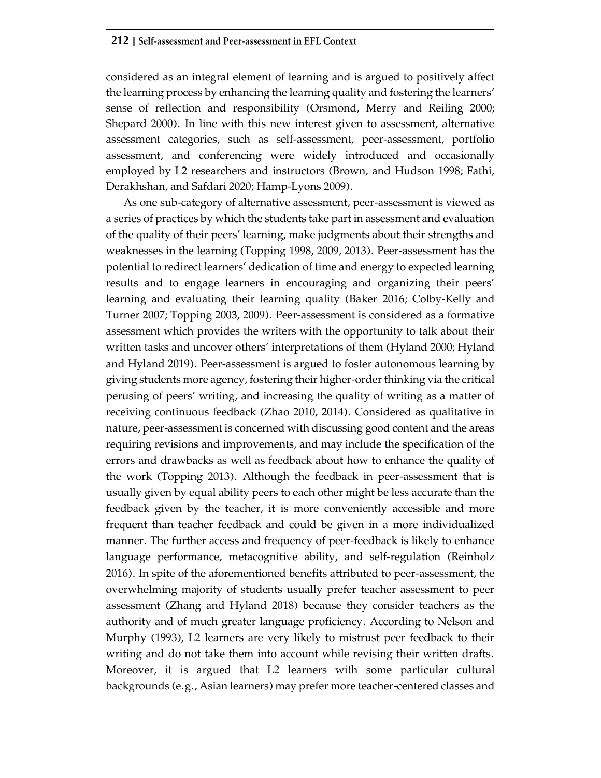considered as an integral element of learning and is argued to positively affect the learning process by enhancing the learning quality and fostering the learners' sense of reflection and responsibility (Orsmond, Merry and Reiling 2000; Shepard 2000). In line with this new interest given to assessment, alternative assessment categories, such as self-assessment, peer-assessment, portfolio assessment, and conferencing were widely introduced and occasionally employed by L2 researchers and instructors (Brown, and Hudson 1998; Fathi, Derakhshan, and Safdari 2020; Hamp-Lyons 2009).

As one sub-category of alternative assessment, peer-assessment is viewed as a series of practices by which the students take part in assessment and evaluation of the quality of their peers' learning, make judgments about their strengths and weaknesses in the learning (Topping 1998, 2009, 2013). Peer-assessment has the potential to redirect learners' dedication of time and energy to expected learning results and to engage learners in encouraging and organizing their peers' learning and evaluating their learning quality (Baker 2016; Colby-Kelly and Turner 2007; Topping 2003, 2009). Peer-assessment is considered as a formative assessment which provides the writers with the opportunity to talk about their written tasks and uncover others' interpretations of them (Hyland 2000; Hyland and Hyland 2019). Peer-assessment is argued to foster autonomous learning by giving students more agency, fostering their higher-order thinking via the critical perusing of peers' writing, and increasing the quality of writing as a matter of receiving continuous feedback (Zhao 2010, 2014). Considered as qualitative in nature, peer-assessment is concerned with discussing good content and the areas requiring revisions and improvements, and may include the specification of the errors and drawbacks as well as feedback about how to enhance the quality of the work (Topping 2013). Although the feedback in peer-assessment that is usually given by equal ability peers to each other might be less accurate than the feedback given by the teacher, it is more conveniently accessible and more frequent than teacher feedback and could be given in a more individualized manner. The further access and frequency of peer-feedback is likely to enhance language performance, metacognitive ability, and self-regulation (Reinholz 2016). In spite of the aforementioned benefits attributed to peer-assessment, the overwhelming majority of students usually prefer teacher assessment to peer assessment (Zhang and Hyland 2018) because they consider teachers as the authority and of much greater language proficiency. According to Nelson and Murphy (1993), L2 learners are very likely to mistrust peer feedback to their writing and do not take them into account while revising their written drafts. Moreover, it is argued that L2 learners with some particular cultural backgrounds (e.g., Asian learners) may prefer more teacher-centered classes and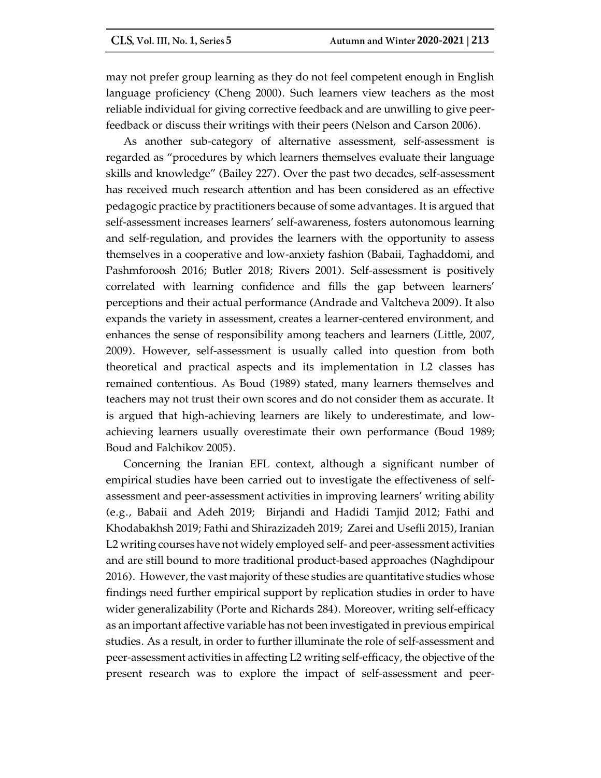may not prefer group learning as they do not feel competent enough in English language proficiency (Cheng 2000). Such learners view teachers as the most reliable individual for giving corrective feedback and are unwilling to give peerfeedback or discuss their writings with their peers (Nelson and Carson 2006).

As another sub-category of alternative assessment, self-assessment is regarded as "procedures by which learners themselves evaluate their language skills and knowledge" (Bailey 227). Over the past two decades, self-assessment has received much research attention and has been considered as an effective pedagogic practice by practitioners because of some advantages. It is argued that self-assessment increases learners' self-awareness, fosters autonomous learning and self-regulation, and provides the learners with the opportunity to assess themselves in a cooperative and low-anxiety fashion (Babaii, Taghaddomi, and Pashmforoosh 2016; Butler 2018; Rivers 2001). Self-assessment is positively correlated with learning confidence and fills the gap between learners' perceptions and their actual performance (Andrade and Valtcheva 2009). It also expands the variety in assessment, creates a learner-centered environment, and enhances the sense of responsibility among teachers and learners (Little, 2007, 2009). However, self-assessment is usually called into question from both theoretical and practical aspects and its implementation in L2 classes has remained contentious. As Boud (1989) stated, many learners themselves and teachers may not trust their own scores and do not consider them as accurate. It is argued that high-achieving learners are likely to underestimate, and lowachieving learners usually overestimate their own performance (Boud 1989; Boud and Falchikov 2005).

Concerning the Iranian EFL context, although a significant number of empirical studies have been carried out to investigate the effectiveness of selfassessment and peer-assessment activities in improving learners' writing ability (e.g., Babaii and Adeh 2019; Birjandi and Hadidi Tamjid 2012; Fathi and Khodabakhsh 2019; Fathi and Shirazizadeh 2019; Zarei and Usefli 2015), Iranian L2 writing courses have not widely employed self- and peer-assessment activities and are still bound to more traditional product-based approaches (Naghdipour 2016). However, the vast majority of these studies are quantitative studies whose findings need further empirical support by replication studies in order to have wider generalizability (Porte and Richards 284). Moreover, writing self-efficacy as an important affective variable has not been investigated in previous empirical studies. As a result, in order to further illuminate the role of self-assessment and peer-assessment activities in affecting L2 writing self-efficacy, the objective of the present research was to explore the impact of self-assessment and peer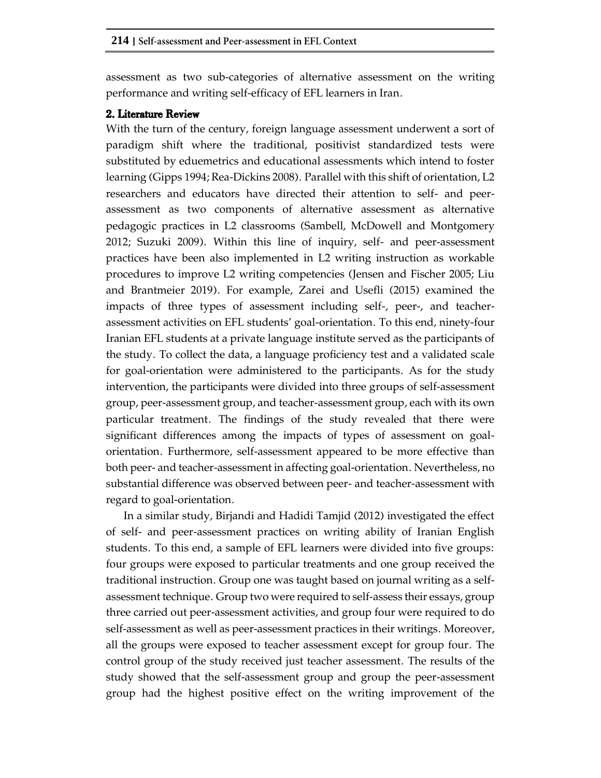assessment as two sub-categories of alternative assessment on the writing performance and writing self-efficacy of EFL learners in Iran.

### 2. Literature Review

With the turn of the century, foreign language assessment underwent a sort of paradigm shift where the traditional, positivist standardized tests were substituted by eduemetrics and educational assessments which intend to foster learning (Gipps 1994; Rea‐Dickins 2008). Parallel with this shift of orientation, L2 researchers and educators have directed their attention to self- and peerassessment as two components of alternative assessment as alternative pedagogic practices in L2 classrooms (Sambell, McDowell and Montgomery 2012; Suzuki 2009). Within this line of inquiry, self- and peer-assessment practices have been also implemented in L2 writing instruction as workable procedures to improve L2 writing competencies (Jensen and Fischer 2005; Liu and Brantmeier 2019). For example, Zarei and Usefli (2015) examined the impacts of three types of assessment including self-, peer-, and teacherassessment activities on EFL students' goal-orientation. To this end, ninety-four Iranian EFL students at a private language institute served as the participants of the study. To collect the data, a language proficiency test and a validated scale for goal-orientation were administered to the participants. As for the study intervention, the participants were divided into three groups of self-assessment group, peer-assessment group, and teacher-assessment group, each with its own particular treatment. The findings of the study revealed that there were significant differences among the impacts of types of assessment on goalorientation. Furthermore, self-assessment appeared to be more effective than both peer- and teacher-assessment in affecting goal-orientation. Nevertheless, no substantial difference was observed between peer- and teacher-assessment with regard to goal-orientation.

In a similar study, Birjandi and Hadidi Tamjid (2012) investigated the effect of self- and peer-assessment practices on writing ability of Iranian English students. To this end, a sample of EFL learners were divided into five groups: four groups were exposed to particular treatments and one group received the traditional instruction. Group one was taught based on journal writing as a selfassessment technique. Group two were required to self-assess their essays, group three carried out peer-assessment activities, and group four were required to do self-assessment as well as peer-assessment practices in their writings. Moreover, all the groups were exposed to teacher assessment except for group four. The control group of the study received just teacher assessment. The results of the study showed that the self-assessment group and group the peer-assessment group had the highest positive effect on the writing improvement of the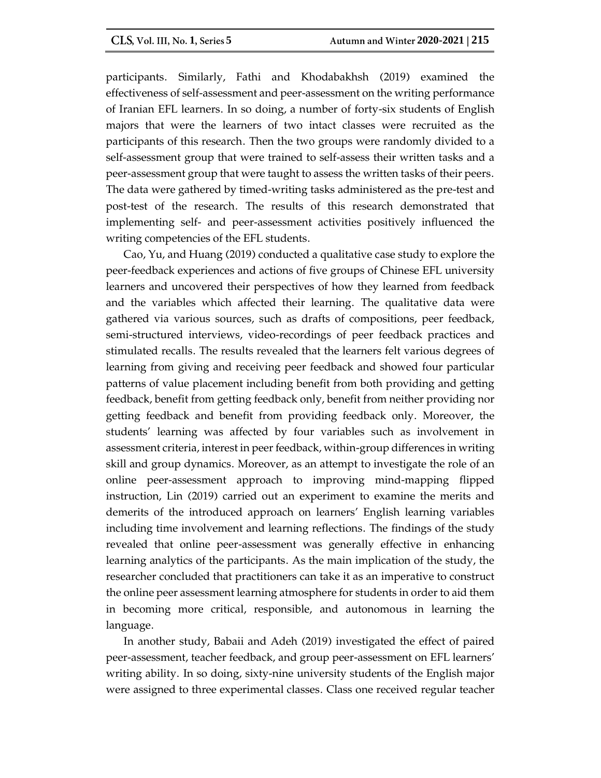participants. Similarly, Fathi and Khodabakhsh (2019) examined the effectiveness of self-assessment and peer-assessment on the writing performance of Iranian EFL learners. In so doing, a number of forty-six students of English majors that were the learners of two intact classes were recruited as the participants of this research. Then the two groups were randomly divided to a self-assessment group that were trained to self-assess their written tasks and a peer-assessment group that were taught to assess the written tasks of their peers. The data were gathered by timed-writing tasks administered as the pre-test and post-test of the research. The results of this research demonstrated that implementing self- and peer-assessment activities positively influenced the writing competencies of the EFL students.

Cao, Yu, and Huang (2019) conducted a qualitative case study to explore the peer-feedback experiences and actions of five groups of Chinese EFL university learners and uncovered their perspectives of how they learned from feedback and the variables which affected their learning. The qualitative data were gathered via various sources, such as drafts of compositions, peer feedback, semi-structured interviews, video-recordings of peer feedback practices and stimulated recalls. The results revealed that the learners felt various degrees of learning from giving and receiving peer feedback and showed four particular patterns of value placement including benefit from both providing and getting feedback, benefit from getting feedback only, benefit from neither providing nor getting feedback and benefit from providing feedback only. Moreover, the students' learning was affected by four variables such as involvement in assessment criteria, interest in peer feedback, within-group differences in writing skill and group dynamics. Moreover, as an attempt to investigate the role of an online peer-assessment approach to improving mind-mapping flipped instruction, Lin (2019) carried out an experiment to examine the merits and demerits of the introduced approach on learners' English learning variables including time involvement and learning reflections. The findings of the study revealed that online peer-assessment was generally effective in enhancing learning analytics of the participants. As the main implication of the study, the researcher concluded that practitioners can take it as an imperative to construct the online peer assessment learning atmosphere for students in order to aid them in becoming more critical, responsible, and autonomous in learning the language.

In another study, Babaii and Adeh (2019) investigated the effect of paired peer-assessment, teacher feedback, and group peer-assessment on EFL learners' writing ability. In so doing, sixty-nine university students of the English major were assigned to three experimental classes. Class one received regular teacher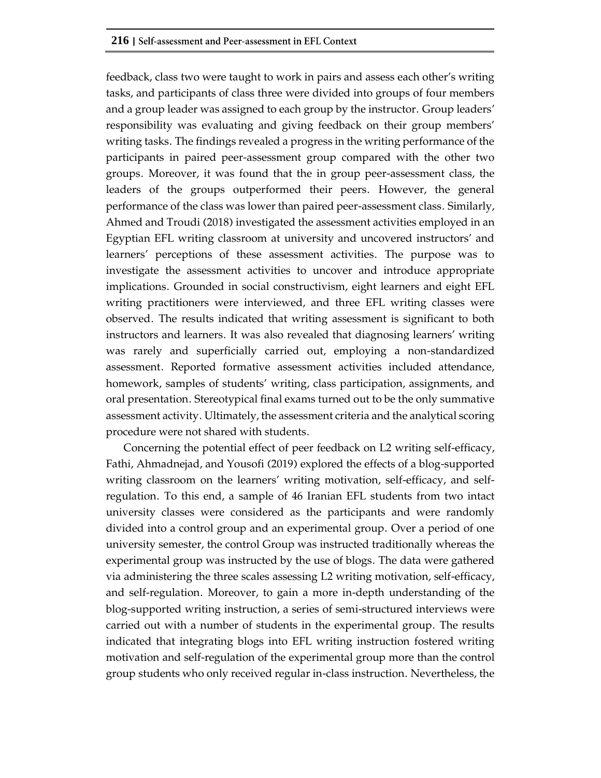feedback, class two were taught to work in pairs and assess each other's writing tasks, and participants of class three were divided into groups of four members and a group leader was assigned to each group by the instructor. Group leaders' responsibility was evaluating and giving feedback on their group members' writing tasks. The findings revealed a progress in the writing performance of the participants in paired peer-assessment group compared with the other two groups. Moreover, it was found that the in group peer-assessment class, the leaders of the groups outperformed their peers. However, the general performance of the class was lower than paired peer-assessment class. Similarly, Ahmed and Troudi (2018) investigated the assessment activities employed in an Egyptian EFL writing classroom at university and uncovered instructors' and learners' perceptions of these assessment activities. The purpose was to investigate the assessment activities to uncover and introduce appropriate implications. Grounded in social constructivism, eight learners and eight EFL writing practitioners were interviewed, and three EFL writing classes were observed. The results indicated that writing assessment is significant to both instructors and learners. It was also revealed that diagnosing learners' writing was rarely and superficially carried out, employing a non-standardized assessment. Reported formative assessment activities included attendance, homework, samples of students' writing, class participation, assignments, and oral presentation. Stereotypical final exams turned out to be the only summative assessment activity. Ultimately, the assessment criteria and the analytical scoring procedure were not shared with students.

Concerning the potential effect of peer feedback on L2 writing self-efficacy, Fathi, Ahmadnejad, and Yousofi (2019) explored the effects of a blog-supported writing classroom on the learners' writing motivation, self-efficacy, and selfregulation. To this end, a sample of 46 Iranian EFL students from two intact university classes were considered as the participants and were randomly divided into a control group and an experimental group. Over a period of one university semester, the control Group was instructed traditionally whereas the experimental group was instructed by the use of blogs. The data were gathered via administering the three scales assessing L2 writing motivation, self-efficacy, and self-regulation. Moreover, to gain a more in-depth understanding of the blog-supported writing instruction, a series of semi-structured interviews were carried out with a number of students in the experimental group. The results indicated that integrating blogs into EFL writing instruction fostered writing motivation and self-regulation of the experimental group more than the control group students who only received regular in-class instruction. Nevertheless, the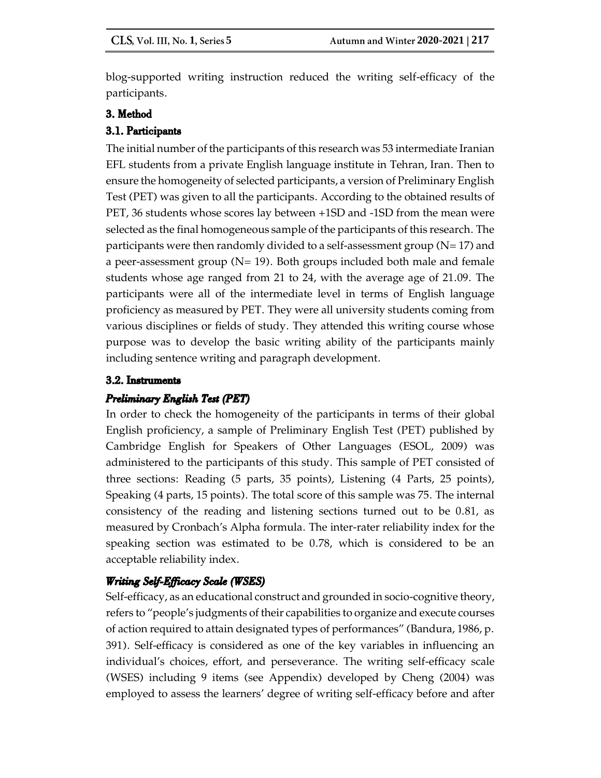blog-supported writing instruction reduced the writing self-efficacy of the participants.

# 3. Method

# 3.1. Participants

The initial number of the participants of this research was 53 intermediate Iranian EFL students from a private English language institute in Tehran, Iran. Then to ensure the homogeneity of selected participants, a version of Preliminary English Test (PET) was given to all the participants. According to the obtained results of PET, 36 students whose scores lay between +1SD and -1SD from the mean were selected as the final homogeneous sample of the participants of this research. The participants were then randomly divided to a self-assessment group ( $N= 17$ ) and a peer-assessment group  $(N= 19)$ . Both groups included both male and female students whose age ranged from 21 to 24, with the average age of 21.09. The participants were all of the intermediate level in terms of English language proficiency as measured by PET. They were all university students coming from various disciplines or fields of study. They attended this writing course whose purpose was to develop the basic writing ability of the participants mainly including sentence writing and paragraph development.

## 3.2. Instruments

# Preliminary English Test (PET)

In order to check the homogeneity of the participants in terms of their global English proficiency, a sample of Preliminary English Test (PET) published by Cambridge English for Speakers of Other Languages (ESOL, 2009) was administered to the participants of this study. This sample of PET consisted of three sections: Reading (5 parts, 35 points), Listening (4 Parts, 25 points), Speaking (4 parts, 15 points). The total score of this sample was 75. The internal consistency of the reading and listening sections turned out to be 0.81, as measured by Cronbach's Alpha formula. The inter-rater reliability index for the speaking section was estimated to be 0.78, which is considered to be an acceptable reliability index.

# **Writing Self-Efficacy Scale (WSES)**

Self-efficacy, as an educational construct and grounded in socio-cognitive theory, refers to "people's judgments of their capabilities to organize and execute courses of action required to attain designated types of performances" (Bandura, 1986, p. 391). Self-efficacy is considered as one of the key variables in influencing an individual's choices, effort, and perseverance. The writing self-efficacy scale (WSES) including 9 items (see Appendix) developed by Cheng (2004) was employed to assess the learners' degree of writing self-efficacy before and after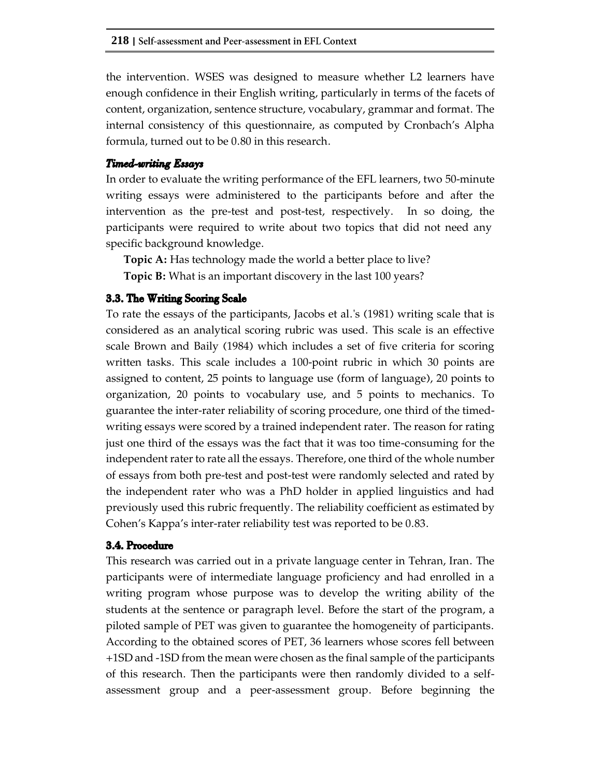the intervention. WSES was designed to measure whether L2 learners have enough confidence in their English writing, particularly in terms of the facets of content, organization, sentence structure, vocabulary, grammar and format. The internal consistency of this questionnaire, as computed by Cronbach's Alpha formula, turned out to be 0.80 in this research.

## **Timed-writing Essays**

In order to evaluate the writing performance of the EFL learners, two 50-minute writing essays were administered to the participants before and after the intervention as the pre-test and post-test, respectively. In so doing, the participants were required to write about two topics that did not need any specific background knowledge.

**Topic A:** Has technology made the world a better place to live?

**Topic B:** What is an important discovery in the last 100 years?

## 3.3. The Writing Scoring Scale

To rate the essays of the participants, Jacobs et al.'s (1981) writing scale that is considered as an analytical scoring rubric was used. This scale is an effective scale Brown and Baily (1984) which includes a set of five criteria for scoring written tasks. This scale includes a 100-point rubric in which 30 points are assigned to content, 25 points to language use (form of language), 20 points to organization, 20 points to vocabulary use, and 5 points to mechanics. To guarantee the inter-rater reliability of scoring procedure, one third of the timedwriting essays were scored by a trained independent rater. The reason for rating just one third of the essays was the fact that it was too time-consuming for the independent rater to rate all the essays. Therefore, one third of the whole number of essays from both pre-test and post-test were randomly selected and rated by the independent rater who was a PhD holder in applied linguistics and had previously used this rubric frequently. The reliability coefficient as estimated by Cohen's Kappa's inter-rater reliability test was reported to be 0.83.

## 3.4. Procedure

This research was carried out in a private language center in Tehran, Iran. The participants were of intermediate language proficiency and had enrolled in a writing program whose purpose was to develop the writing ability of the students at the sentence or paragraph level. Before the start of the program, a piloted sample of PET was given to guarantee the homogeneity of participants. According to the obtained scores of PET, 36 learners whose scores fell between +1SD and -1SD from the mean were chosen as the final sample of the participants of this research. Then the participants were then randomly divided to a selfassessment group and a peer-assessment group. Before beginning the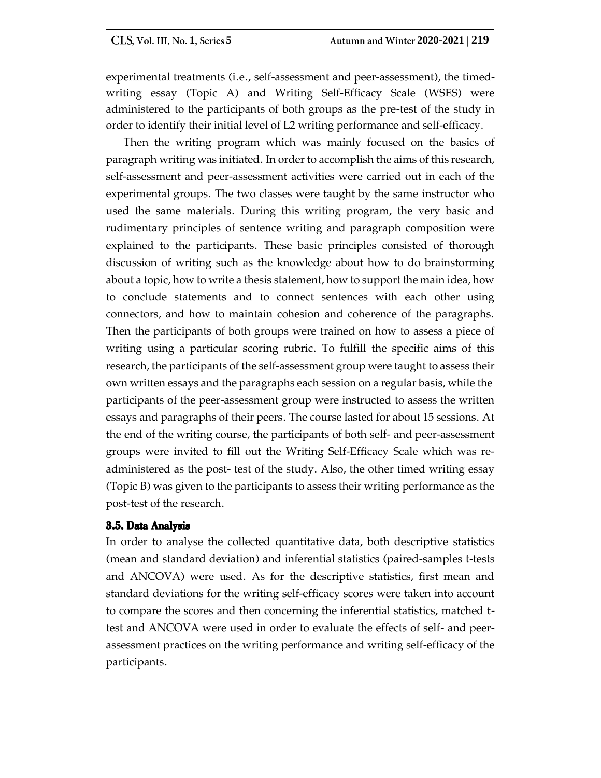experimental treatments (i.e., self-assessment and peer-assessment), the timedwriting essay (Topic A) and Writing Self-Efficacy Scale (WSES) were administered to the participants of both groups as the pre-test of the study in order to identify their initial level of L2 writing performance and self-efficacy.

Then the writing program which was mainly focused on the basics of paragraph writing was initiated. In order to accomplish the aims of this research, self-assessment and peer-assessment activities were carried out in each of the experimental groups. The two classes were taught by the same instructor who used the same materials. During this writing program, the very basic and rudimentary principles of sentence writing and paragraph composition were explained to the participants. These basic principles consisted of thorough discussion of writing such as the knowledge about how to do brainstorming about a topic, how to write a thesis statement, how to support the main idea, how to conclude statements and to connect sentences with each other using connectors, and how to maintain cohesion and coherence of the paragraphs. Then the participants of both groups were trained on how to assess a piece of writing using a particular scoring rubric. To fulfill the specific aims of this research, the participants of the self-assessment group were taught to assess their own written essays and the paragraphs each session on a regular basis, while the participants of the peer-assessment group were instructed to assess the written essays and paragraphs of their peers. The course lasted for about 15 sessions. At the end of the writing course, the participants of both self- and peer-assessment groups were invited to fill out the Writing Self-Efficacy Scale which was readministered as the post- test of the study. Also, the other timed writing essay (Topic B) was given to the participants to assess their writing performance as the post-test of the research.

## 3.5. Data Analysis

In order to analyse the collected quantitative data, both descriptive statistics (mean and standard deviation) and inferential statistics (paired-samples t-tests and ANCOVA) were used. As for the descriptive statistics, first mean and standard deviations for the writing self-efficacy scores were taken into account to compare the scores and then concerning the inferential statistics, matched ttest and ANCOVA were used in order to evaluate the effects of self- and peerassessment practices on the writing performance and writing self-efficacy of the participants.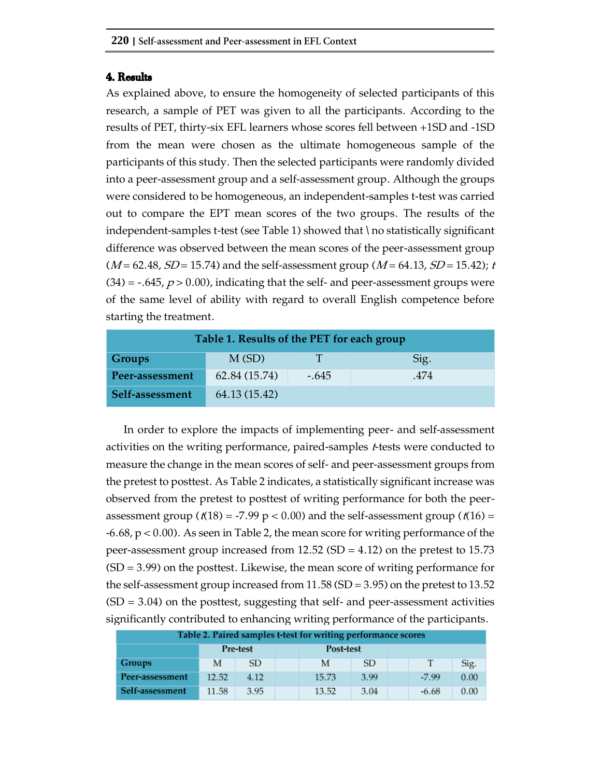### 4. Results

As explained above, to ensure the homogeneity of selected participants of this research, a sample of PET was given to all the participants. According to the results of PET, thirty-six EFL learners whose scores fell between +1SD and -1SD from the mean were chosen as the ultimate homogeneous sample of the participants of this study. Then the selected participants were randomly divided into a peer-assessment group and a self-assessment group. Although the groups were considered to be homogeneous, an independent-samples t-test was carried out to compare the EPT mean scores of the two groups. The results of the independent-samples t-test (see Table 1) showed that \ no statistically significant difference was observed between the mean scores of the peer-assessment group  $(M = 62.48, SD = 15.74)$  and the self-assessment group  $(M = 64.13, SD = 15.42)$ ; t  $(34) = -.645, p > 0.00$ , indicating that the self- and peer-assessment groups were of the same level of ability with regard to overall English competence before starting the treatment.

| Table 1. Results of the PET for each group |               |         |      |  |  |  |  |  |  |  |  |
|--------------------------------------------|---------------|---------|------|--|--|--|--|--|--|--|--|
| M(SD)<br>Groups<br>T<br>Sig.               |               |         |      |  |  |  |  |  |  |  |  |
| Peer-assessment                            | 62.84 (15.74) | $-.645$ | .474 |  |  |  |  |  |  |  |  |
| Self-assessment                            | 64.13 (15.42) |         |      |  |  |  |  |  |  |  |  |

In order to explore the impacts of implementing peer- and self-assessment activities on the writing performance, paired-samples *t*-tests were conducted to measure the change in the mean scores of self- and peer-assessment groups from the pretest to posttest. As Table 2 indicates, a statistically significant increase was observed from the pretest to posttest of writing performance for both the peerassessment group ( $t(18) = -7.99$  p < 0.00) and the self-assessment group ( $t(16) =$ -6.68, p < 0.00). As seen in Table 2, the mean score for writing performance of the peer-assessment group increased from 12.52 (SD = 4.12) on the pretest to 15.73  $(SD = 3.99)$  on the posttest. Likewise, the mean score of writing performance for the self-assessment group increased from  $11.58$  (SD = 3.95) on the pretest to 13.52  $(SD = 3.04)$  on the posttest, suggesting that self- and peer-assessment activities significantly contributed to enhancing writing performance of the participants.

| Table 2. Paired samples t-test for writing performance scores |                       |      |  |       |      |  |         |      |  |  |
|---------------------------------------------------------------|-----------------------|------|--|-------|------|--|---------|------|--|--|
|                                                               | Pre-test<br>Post-test |      |  |       |      |  |         |      |  |  |
| Groups                                                        | М                     | SD   |  | М     | SD.  |  |         | Sig. |  |  |
| Peer-assessment                                               | 12.52                 | 4.12 |  | 15.73 | 3.99 |  | $-7.99$ | 0.00 |  |  |
| Self-assessment                                               | 11.58                 | 3.95 |  | 13.52 | 3.04 |  | $-6.68$ | 0.00 |  |  |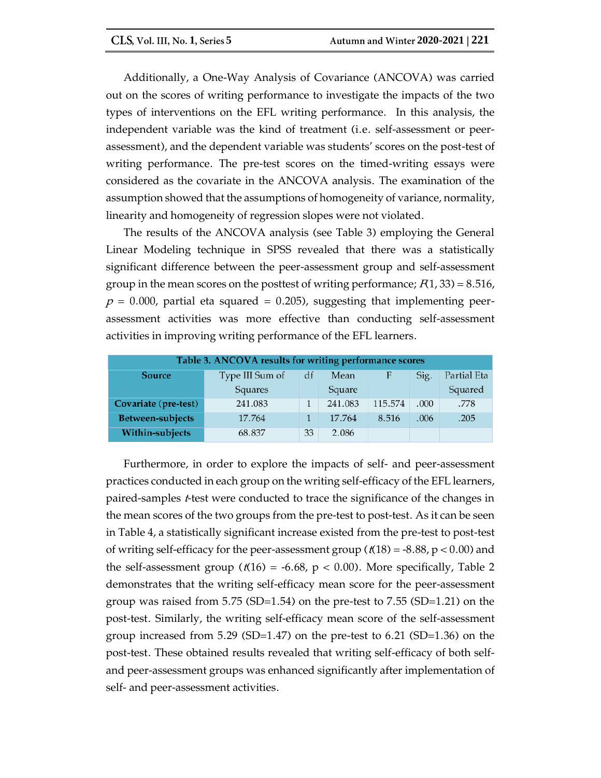Additionally, a One-Way Analysis of Covariance (ANCOVA) was carried out on the scores of writing performance to investigate the impacts of the two types of interventions on the EFL writing performance. In this analysis, the independent variable was the kind of treatment (i.e. self-assessment or peerassessment), and the dependent variable was students' scores on the post-test of writing performance. The pre-test scores on the timed-writing essays were considered as the covariate in the ANCOVA analysis. The examination of the assumption showed that the assumptions of homogeneity of variance, normality, linearity and homogeneity of regression slopes were not violated.

The results of the ANCOVA analysis (see Table 3) employing the General Linear Modeling technique in SPSS revealed that there was a statistically significant difference between the peer-assessment group and self-assessment group in the mean scores on the posttest of writing performance;  $F(1, 33) = 8.516$ ,  $p = 0.000$ , partial eta squared = 0.205), suggesting that implementing peerassessment activities was more effective than conducting self-assessment activities in improving writing performance of the EFL learners.

| Table 3. ANCOVA results for writing performance scores                     |         |    |         |         |      |         |  |  |  |
|----------------------------------------------------------------------------|---------|----|---------|---------|------|---------|--|--|--|
| Partial Eta<br>Type III Sum of<br><b>Source</b><br>F<br>Sig.<br>df<br>Mean |         |    |         |         |      |         |  |  |  |
|                                                                            | Squares |    | Square  |         |      | Squared |  |  |  |
| Covariate (pre-test)                                                       | 241.083 |    | 241.083 | 115.574 | .000 | .778    |  |  |  |
| Between-subjects                                                           | 17.764  |    | 17.764  | 8.516   | .006 | .205    |  |  |  |
| Within-subjects                                                            | 68.837  | 33 | 2.086   |         |      |         |  |  |  |

Furthermore, in order to explore the impacts of self- and peer-assessment practices conducted in each group on the writing self-efficacy of the EFL learners, paired-samples t-test were conducted to trace the significance of the changes in the mean scores of the two groups from the pre-test to post-test. As it can be seen in Table 4, a statistically significant increase existed from the pre-test to post-test of writing self-efficacy for the peer-assessment group ( $t(18) = -8.88$ ,  $p < 0.00$ ) and the self-assessment group ( $t(16) = -6.68$ ,  $p < 0.00$ ). More specifically, Table 2 demonstrates that the writing self-efficacy mean score for the peer-assessment group was raised from  $5.75$  (SD=1.54) on the pre-test to  $7.55$  (SD=1.21) on the post-test. Similarly, the writing self-efficacy mean score of the self-assessment group increased from 5.29 (SD=1.47) on the pre-test to 6.21 (SD=1.36) on the post-test. These obtained results revealed that writing self-efficacy of both selfand peer-assessment groups was enhanced significantly after implementation of self- and peer-assessment activities.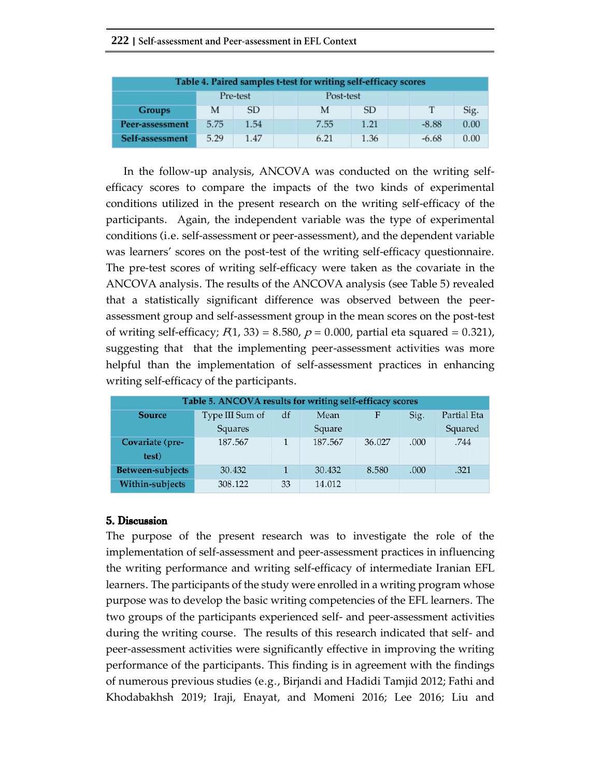### **222 |**

| Table 4. Paired samples t-test for writing self-efficacy scores |      |      |  |      |      |  |         |      |  |  |
|-----------------------------------------------------------------|------|------|--|------|------|--|---------|------|--|--|
| Pre-test<br>Post-test                                           |      |      |  |      |      |  |         |      |  |  |
| Groups                                                          | М    | SD   |  | М    | SD.  |  | т       | Sig. |  |  |
| Peer-assessment                                                 | 5.75 | 1.54 |  | 7.55 | 1.21 |  | $-8.88$ | 0.00 |  |  |
| Self-assessment                                                 | 5.29 | 1.47 |  | 6.21 | 1.36 |  | $-6.68$ | 0.00 |  |  |

In the follow-up analysis, ANCOVA was conducted on the writing selfefficacy scores to compare the impacts of the two kinds of experimental conditions utilized in the present research on the writing self-efficacy of the participants. Again, the independent variable was the type of experimental conditions (i.e. self-assessment or peer-assessment), and the dependent variable was learners' scores on the post-test of the writing self-efficacy questionnaire. The pre-test scores of writing self-efficacy were taken as the covariate in the ANCOVA analysis. The results of the ANCOVA analysis (see Table 5) revealed that a statistically significant difference was observed between the peerassessment group and self-assessment group in the mean scores on the post-test of writing self-efficacy;  $F(1, 33) = 8.580$ ,  $p = 0.000$ , partial eta squared = 0.321), suggesting that that the implementing peer-assessment activities was more helpful than the implementation of self-assessment practices in enhancing writing self-efficacy of the participants.

| Table 5. ANCOVA results for writing self-efficacy scores |                 |                                        |         |        |      |         |  |  |  |
|----------------------------------------------------------|-----------------|----------------------------------------|---------|--------|------|---------|--|--|--|
| <b>Source</b>                                            | Type III Sum of | Partial Eta<br>Mean<br>Sig.<br>F<br>df |         |        |      |         |  |  |  |
|                                                          | Squares         |                                        | Square  |        |      | Squared |  |  |  |
| Covariate (pre-                                          | 187.567         |                                        | 187.567 | 36.027 | .000 | .744    |  |  |  |
| test)                                                    |                 |                                        |         |        |      |         |  |  |  |
| Between-subjects                                         | 30.432          |                                        | 30.432  | 8.580  | .000 | .321    |  |  |  |
| Within-subjects                                          | 308.122         | 33                                     | 14.012  |        |      |         |  |  |  |

## 5. Discussion

The purpose of the present research was to investigate the role of the implementation of self-assessment and peer-assessment practices in influencing the writing performance and writing self-efficacy of intermediate Iranian EFL learners. The participants of the study were enrolled in a writing program whose purpose was to develop the basic writing competencies of the EFL learners. The two groups of the participants experienced self- and peer-assessment activities during the writing course. The results of this research indicated that self- and peer-assessment activities were significantly effective in improving the writing performance of the participants. This finding is in agreement with the findings of numerous previous studies (e.g., Birjandi and Hadidi Tamjid 2012; Fathi and Khodabakhsh 2019; Iraji, Enayat, and Momeni 2016; Lee 2016; Liu and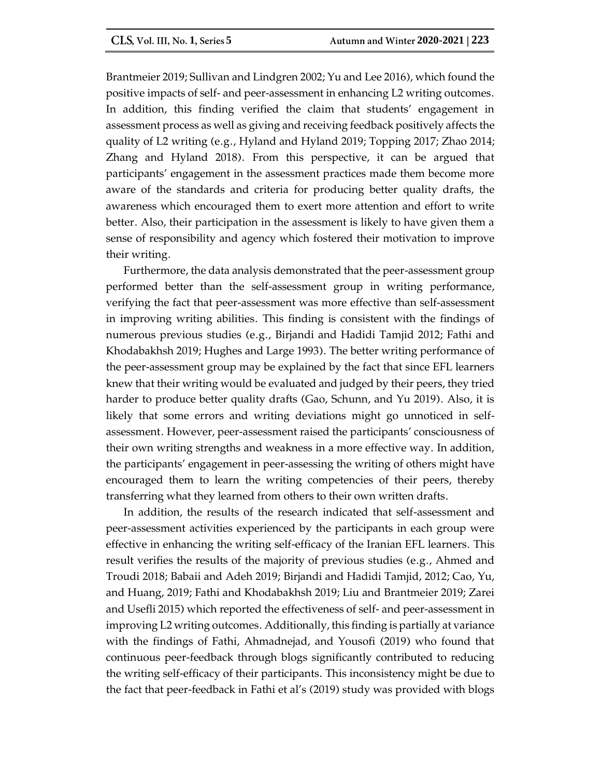Brantmeier 2019; Sullivan and Lindgren 2002; Yu and Lee 2016), which found the positive impacts of self- and peer-assessment in enhancing L2 writing outcomes. In addition, this finding verified the claim that students' engagement in assessment process as well as giving and receiving feedback positively affects the quality of L2 writing (e.g., Hyland and Hyland 2019; Topping 2017; Zhao 2014; Zhang and Hyland 2018). From this perspective, it can be argued that participants' engagement in the assessment practices made them become more aware of the standards and criteria for producing better quality drafts, the awareness which encouraged them to exert more attention and effort to write better. Also, their participation in the assessment is likely to have given them a sense of responsibility and agency which fostered their motivation to improve their writing.

Furthermore, the data analysis demonstrated that the peer-assessment group performed better than the self-assessment group in writing performance, verifying the fact that peer-assessment was more effective than self-assessment in improving writing abilities. This finding is consistent with the findings of numerous previous studies (e.g., Birjandi and Hadidi Tamjid 2012; Fathi and Khodabakhsh 2019; Hughes and Large 1993). The better writing performance of the peer-assessment group may be explained by the fact that since EFL learners knew that their writing would be evaluated and judged by their peers, they tried harder to produce better quality drafts (Gao, Schunn, and Yu 2019). Also, it is likely that some errors and writing deviations might go unnoticed in selfassessment. However, peer-assessment raised the participants' consciousness of their own writing strengths and weakness in a more effective way. In addition, the participants' engagement in peer-assessing the writing of others might have encouraged them to learn the writing competencies of their peers, thereby transferring what they learned from others to their own written drafts.

In addition, the results of the research indicated that self-assessment and peer-assessment activities experienced by the participants in each group were effective in enhancing the writing self-efficacy of the Iranian EFL learners. This result verifies the results of the majority of previous studies (e.g., Ahmed and Troudi 2018; Babaii and Adeh 2019; Birjandi and Hadidi Tamjid, 2012; Cao, Yu, and Huang, 2019; Fathi and Khodabakhsh 2019; Liu and Brantmeier 2019; Zarei and Usefli 2015) which reported the effectiveness of self- and peer-assessment in improving L2 writing outcomes. Additionally, this finding is partially at variance with the findings of Fathi, Ahmadnejad, and Yousofi (2019) who found that continuous peer-feedback through blogs significantly contributed to reducing the writing self-efficacy of their participants. This inconsistency might be due to the fact that peer-feedback in Fathi et al's (2019) study was provided with blogs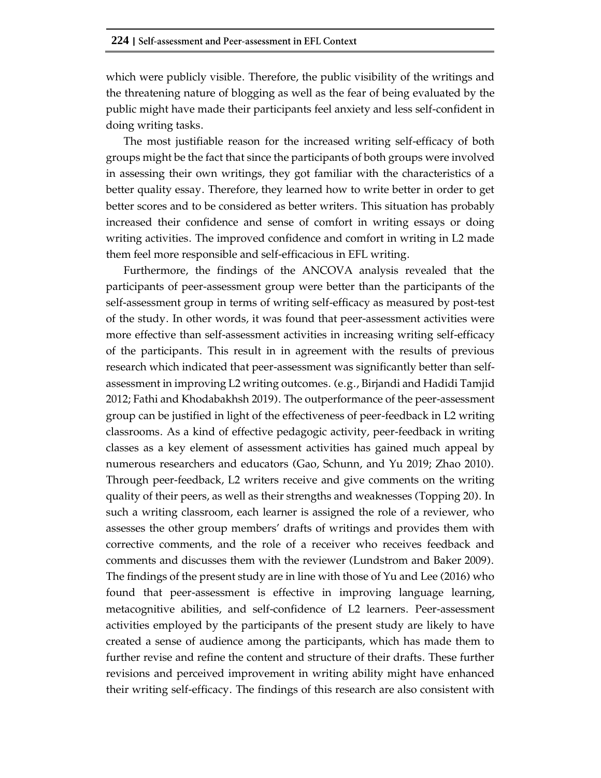which were publicly visible. Therefore, the public visibility of the writings and the threatening nature of blogging as well as the fear of being evaluated by the public might have made their participants feel anxiety and less self-confident in doing writing tasks.

The most justifiable reason for the increased writing self-efficacy of both groups might be the fact that since the participants of both groups were involved in assessing their own writings, they got familiar with the characteristics of a better quality essay. Therefore, they learned how to write better in order to get better scores and to be considered as better writers. This situation has probably increased their confidence and sense of comfort in writing essays or doing writing activities. The improved confidence and comfort in writing in L2 made them feel more responsible and self-efficacious in EFL writing.

Furthermore, the findings of the ANCOVA analysis revealed that the participants of peer-assessment group were better than the participants of the self-assessment group in terms of writing self-efficacy as measured by post-test of the study. In other words, it was found that peer-assessment activities were more effective than self-assessment activities in increasing writing self-efficacy of the participants. This result in in agreement with the results of previous research which indicated that peer-assessment was significantly better than selfassessment in improving L2 writing outcomes. (e.g., Birjandi and Hadidi Tamjid 2012; Fathi and Khodabakhsh 2019). The outperformance of the peer-assessment group can be justified in light of the effectiveness of peer-feedback in L2 writing classrooms. As a kind of effective pedagogic activity, peer-feedback in writing classes as a key element of assessment activities has gained much appeal by numerous researchers and educators (Gao, Schunn, and Yu 2019; Zhao 2010). Through peer-feedback, L2 writers receive and give comments on the writing quality of their peers, as well as their strengths and weaknesses (Topping 20). In such a writing classroom, each learner is assigned the role of a reviewer, who assesses the other group members' drafts of writings and provides them with corrective comments, and the role of a receiver who receives feedback and comments and discusses them with the reviewer (Lundstrom and Baker 2009). The findings of the present study are in line with those of Yu and Lee (2016) who found that peer-assessment is effective in improving language learning, metacognitive abilities, and self-confidence of L2 learners. Peer-assessment activities employed by the participants of the present study are likely to have created a sense of audience among the participants, which has made them to further revise and refine the content and structure of their drafts. These further revisions and perceived improvement in writing ability might have enhanced their writing self-efficacy. The findings of this research are also consistent with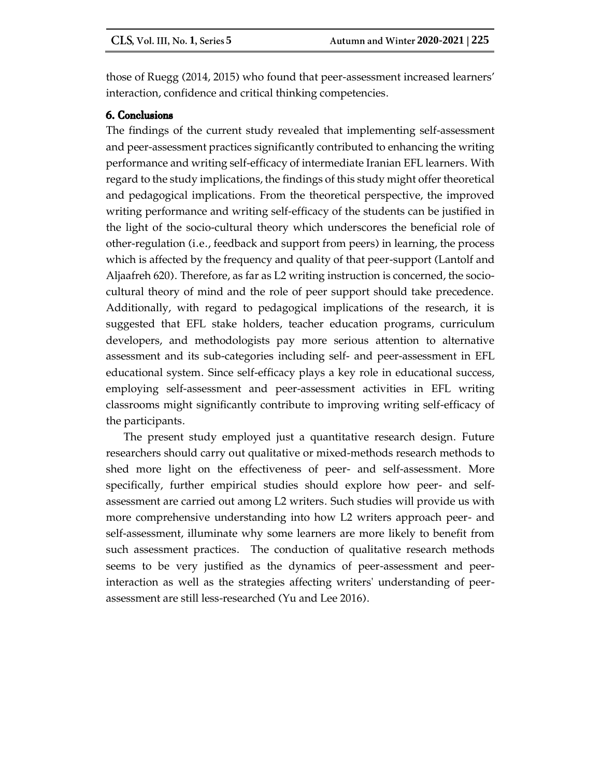those of Ruegg (2014, 2015) who found that peer-assessment increased learners' interaction, confidence and critical thinking competencies.

## 6. Conclusions

The findings of the current study revealed that implementing self-assessment and peer-assessment practices significantly contributed to enhancing the writing performance and writing self-efficacy of intermediate Iranian EFL learners. With regard to the study implications, the findings of this study might offer theoretical and pedagogical implications. From the theoretical perspective, the improved writing performance and writing self-efficacy of the students can be justified in the light of the socio-cultural theory which underscores the beneficial role of other-regulation (i.e., feedback and support from peers) in learning, the process which is affected by the frequency and quality of that peer-support (Lantolf and Aljaafreh 620). Therefore, as far as L2 writing instruction is concerned, the sociocultural theory of mind and the role of peer support should take precedence. Additionally, with regard to pedagogical implications of the research, it is suggested that EFL stake holders, teacher education programs, curriculum developers, and methodologists pay more serious attention to alternative assessment and its sub-categories including self- and peer-assessment in EFL educational system. Since self-efficacy plays a key role in educational success, employing self-assessment and peer-assessment activities in EFL writing classrooms might significantly contribute to improving writing self-efficacy of the participants.

The present study employed just a quantitative research design. Future researchers should carry out qualitative or mixed-methods research methods to shed more light on the effectiveness of peer- and self-assessment. More specifically, further empirical studies should explore how peer- and selfassessment are carried out among L2 writers. Such studies will provide us with more comprehensive understanding into how L2 writers approach peer- and self-assessment, illuminate why some learners are more likely to benefit from such assessment practices. The conduction of qualitative research methods seems to be very justified as the dynamics of peer-assessment and peerinteraction as well as the strategies affecting writers' understanding of peerassessment are still less-researched (Yu and Lee 2016).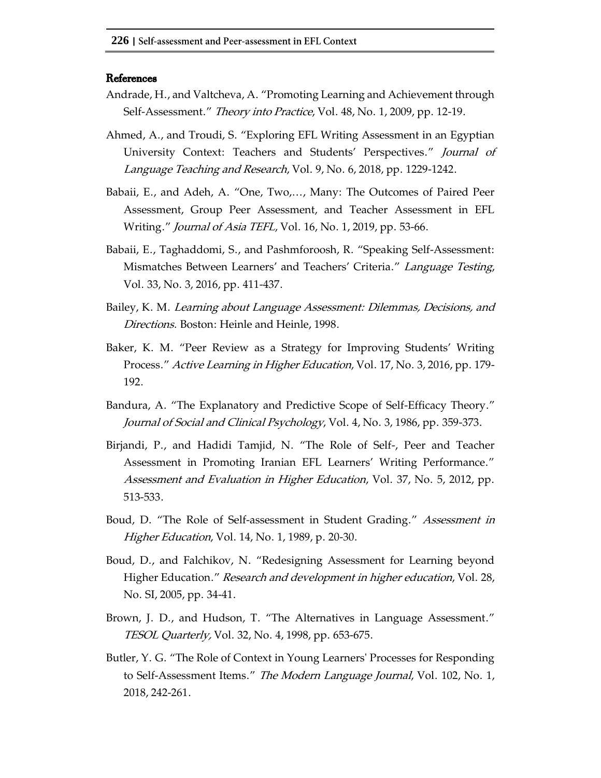#### **References**

- Andrade, H., and Valtcheva, A. "Promoting Learning and Achievement through Self-Assessment." Theory into Practice, Vol. 48, No. 1, 2009, pp. 12-19.
- Ahmed, A., and Troudi, S. "Exploring EFL Writing Assessment in an Egyptian University Context: Teachers and Students' Perspectives." Journal of Language Teaching and Research, Vol. 9, No. 6, 2018, pp. 1229-1242.
- Babaii, E., and Adeh, A. "One, Two,..., Many: The Outcomes of Paired Peer Assessment, Group Peer Assessment, and Teacher Assessment in EFL Writing." *Journal of Asia TEFL*, Vol. 16, No. 1, 2019, pp. 53-66.
- Babaii, E., Taghaddomi, S., and Pashmforoosh, R. "Speaking Self-Assessment: Mismatches Between Learners' and Teachers' Criteria." Language Testing, Vol. 33, No. 3, 2016, pp. 411-437.
- Bailey, K. M. Learning about Language Assessment: Dilemmas, Decisions, and Directions. Boston: Heinle and Heinle, 1998.
- Baker, K. M. "Peer Review as a Strategy for Improving Students' Writing Process." Active Learning in Higher Education, Vol. 17, No. 3, 2016, pp. 179- 192.
- Bandura, A. "The Explanatory and Predictive Scope of Self-Efficacy Theory." Journal of Social and Clinical Psychology, Vol. 4, No. 3, 1986, pp. 359-373.
- Birjandi, P., and Hadidi Tamjid, N. "The Role of Self-, Peer and Teacher Assessment in Promoting Iranian EFL Learners' Writing Performance." Assessment and Evaluation in Higher Education, Vol. 37, No. 5, 2012, pp. 513-533.
- Boud, D. "The Role of Self-assessment in Student Grading." Assessment in Higher Education, Vol. 14, No. 1, 1989, p. 20-30.
- Boud, D., and Falchikov, N. "Redesigning Assessment for Learning beyond Higher Education." Research and development in higher education, Vol. 28, No. SI, 2005, pp. 34-41.
- Brown, J. D., and Hudson, T. "The Alternatives in Language Assessment." *TESOL Quarterly, Vol.* 32, No. 4, 1998, pp. 653-675.
- Butler, Y. G. "The Role of Context in Young Learners' Processes for Responding to Self-Assessment Items." The Modern Language Journal, Vol. 102, No. 1, 2018, 242-261.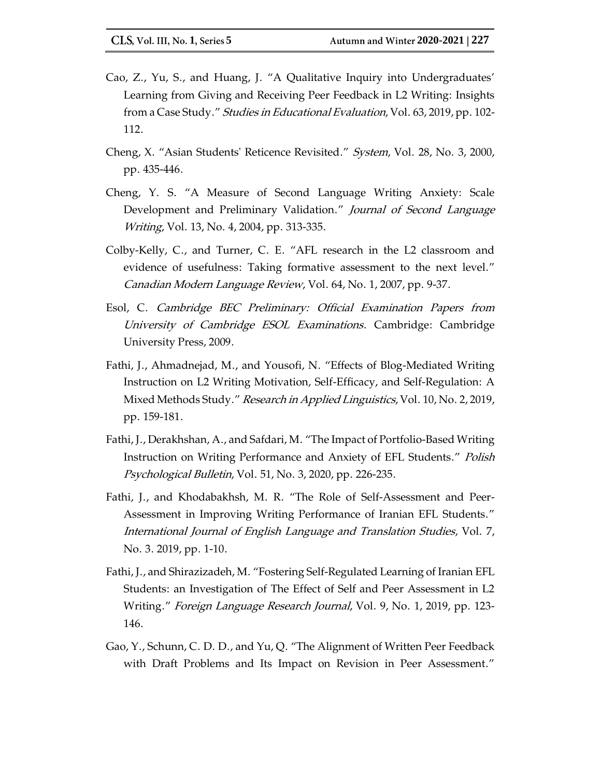- Cao, Z., Yu, S., and Huang, J. "A Qualitative Inquiry into Undergraduates' Learning from Giving and Receiving Peer Feedback in L2 Writing: Insights from a Case Study." Studies in Educational Evaluation, Vol. 63, 2019, pp. 102-112.
- Cheng, X. "Asian Students' Reticence Revisited." System, Vol. 28, No. 3, 2000, pp. 435-446.
- Cheng, Y. S. "A Measure of Second Language Writing Anxiety: Scale Development and Preliminary Validation." Journal of Second Language Writing, Vol. 13, No. 4, 2004, pp. 313-335.
- Colby-Kelly, C., and Turner, C. E. "AFL research in the L2 classroom and evidence of usefulness: Taking formative assessment to the next level." Canadian Modern Language Review, Vol. 64, No. 1, 2007, pp. 9-37.
- Esol, C. Cambridge BEC Preliminary: Official Examination Papers from University of Cambridge ESOL Examinations. Cambridge: Cambridge University Press, 2009.
- Fathi, J., Ahmadnejad, M., and Yousofi, N. "Effects of Blog-Mediated Writing Instruction on L2 Writing Motivation, Self-Efficacy, and Self-Regulation: A Mixed Methods Study." Research in Applied Linguistics, Vol. 10, No. 2, 2019, pp. 159-181.
- Fathi, J., Derakhshan, A., and Safdari, M. "The Impact of Portfolio-Based Writing Instruction on Writing Performance and Anxiety of EFL Students." Polish Psychological Bulletin, Vol. 51, No. 3, 2020, pp. 226-235.
- Fathi, J., and Khodabakhsh, M. R. "The Role of Self-Assessment and Peer-Assessment in Improving Writing Performance of Iranian EFL Students." International Journal of English Language and Translation Studies, Vol. 7, No. 3. 2019, pp. 1-10.
- Fathi, J., and Shirazizadeh, M. "Fostering Self-Regulated Learning of Iranian EFL Students: an Investigation of The Effect of Self and Peer Assessment in L2 Writing." *Foreign Language Research Journal*, Vol. 9, No. 1, 2019, pp. 123-146.
- Gao, Y., Schunn, C. D. D., and Yu, Q. "The Alignment of Written Peer Feedback with Draft Problems and Its Impact on Revision in Peer Assessment."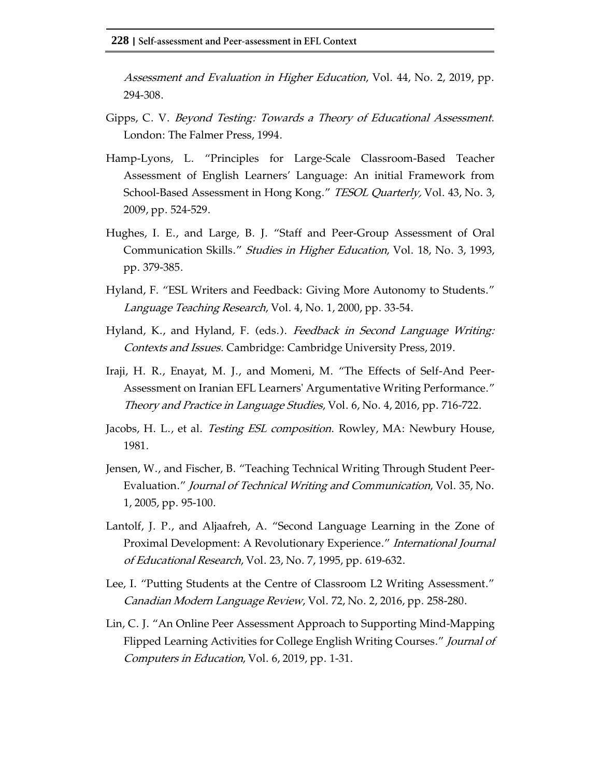Assessment and Evaluation in Higher Education, Vol. 44, No. 2, 2019, pp. 294-308.

- Gipps, C. V. Beyond Testing: Towards a Theory of Educational Assessment. London: The Falmer Press, 1994.
- Hamp-Lyons, L. "Principles for Large-Scale Classroom-Based Teacher Assessment of English Learners' Language: An initial Framework from School-Based Assessment in Hong Kong." TESOL Quarterly, Vol. 43, No. 3, 2009, pp. 524-529.
- Hughes, I. E., and Large, B. J. "Staff and Peer-Group Assessment of Oral Communication Skills." Studies in Higher Education, Vol. 18, No. 3, 1993, pp. 379-385.
- Hyland, F. "ESL Writers and Feedback: Giving More Autonomy to Students." Language Teaching Research, Vol. 4, No. 1, 2000, pp. 33-54.
- Hyland, K., and Hyland, F. (eds.). *Feedback in Second Language Writing:* Contexts and Issues. Cambridge: Cambridge University Press, 2019.
- Iraji, H. R., Enayat, M. J., and Momeni, M. "The Effects of Self-And Peer-Assessment on Iranian EFL Learners' Argumentative Writing Performance." Theory and Practice in Language Studies, Vol. 6, No. 4, 2016, pp. 716-722.
- Jacobs, H. L., et al. Testing ESL composition. Rowley, MA: Newbury House, 1981.
- Jensen, W., and Fischer, B. "Teaching Technical Writing Through Student Peer-Evaluation." Journal of Technical Writing and Communication, Vol. 35, No. 1, 2005, pp. 95-100.
- Lantolf, J. P., and Aljaafreh, A. "Second Language Learning in the Zone of Proximal Development: A Revolutionary Experience." International Journal of Educational Research, Vol. 23, No. 7, 1995, pp. 619-632.
- Lee, I. "Putting Students at the Centre of Classroom L2 Writing Assessment." Canadian Modern Language Review, Vol. 72, No. 2, 2016, pp. 258-280.
- Lin, C. J. "An Online Peer Assessment Approach to Supporting Mind-Mapping Flipped Learning Activities for College English Writing Courses." Journal of Computers in Education, Vol. 6, 2019, pp. 1-31.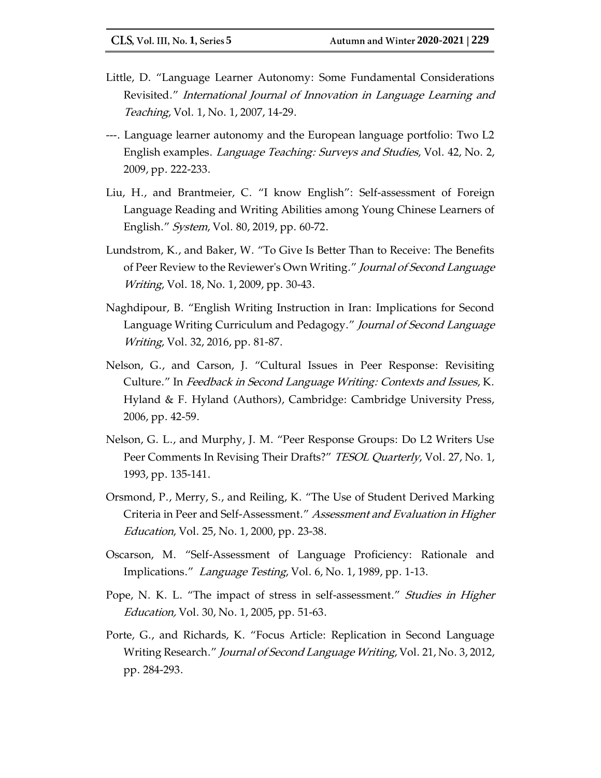- Little, D. "Language Learner Autonomy: Some Fundamental Considerations Revisited." International Journal of Innovation in Language Learning and Teaching, Vol. 1, No. 1, 2007, 14-29.
- ---. Language learner autonomy and the European language portfolio: Two L2 English examples. *Language Teaching: Surveys and Studies,* Vol. 42, No. 2, 2009, pp. 222-233.
- Liu, H., and Brantmeier, C. "I know English": Self-assessment of Foreign Language Reading and Writing Abilities among Young Chinese Learners of English." System, Vol. 80, 2019, pp. 60-72.
- Lundstrom, K., and Baker, W. "To Give Is Better Than to Receive: The Benefits of Peer Review to the Reviewer's Own Writing." *Journal of Second Language Writing, Vol.* 18, No. 1, 2009, pp. 30-43.
- Naghdipour, B. "English Writing Instruction in Iran: Implications for Second Language Writing Curriculum and Pedagogy." Journal of Second Language Writing, Vol. 32, 2016, pp. 81-87.
- Nelson, G., and Carson, J. "Cultural Issues in Peer Response: Revisiting Culture." In Feedback in Second Language Writing: Contexts and Issues, K. Hyland & F. Hyland (Authors), Cambridge: Cambridge University Press, 2006, pp. 42-59.
- Nelson, G. L., and Murphy, J. M. "Peer Response Groups: Do L2 Writers Use Peer Comments In Revising Their Drafts?" TESOL Quarterly, Vol. 27, No. 1, 1993, pp. 135-141.
- Orsmond, P., Merry, S., and Reiling, K. "The Use of Student Derived Marking Criteria in Peer and Self-Assessment." Assessment and Evaluation in Higher Education, Vol. 25, No. 1, 2000, pp. 23-38.
- Oscarson, M. "Self-Assessment of Language Proficiency: Rationale and Implications." Language Testing, Vol. 6, No. 1, 1989, pp. 1-13.
- Pope, N. K. L. "The impact of stress in self-assessment." *Studies in Higher* Education, Vol. 30, No. 1, 2005, pp. 51-63.
- Porte, G., and Richards, K. "Focus Article: Replication in Second Language Writing Research." Journal of Second Language Writing, Vol. 21, No. 3, 2012, pp. 284-293.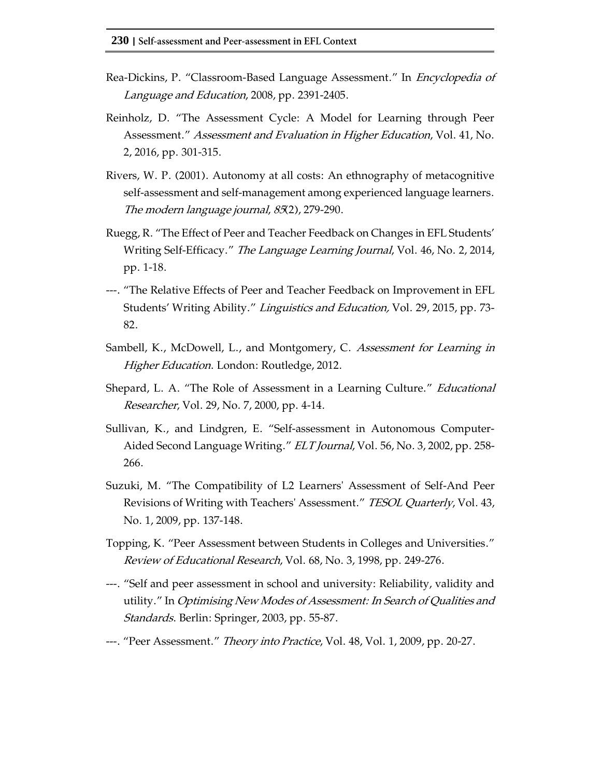- Rea-Dickins, P. "Classroom-Based Language Assessment." In *Encyclopedia of* Language and Education, 2008, pp. 2391-2405.
- Reinholz, D. "The Assessment Cycle: A Model for Learning through Peer Assessment." Assessment and Evaluation in Higher Education, Vol. 41, No. 2, 2016, pp. 301-315.
- Rivers, W. P. (2001). Autonomy at all costs: An ethnography of metacognitive self‐assessment and self‐management among experienced language learners. The modern language journal, 85(2), 279-290.
- Ruegg, R. "The Effect of Peer and Teacher Feedback on Changes in EFL Students' Writing Self-Efficacy." *The Language Learning Journal*, Vol. 46, No. 2, 2014, pp. 1-18.
- ---. "The Relative Effects of Peer and Teacher Feedback on Improvement in EFL Students' Writing Ability." Linguistics and Education, Vol. 29, 2015, pp. 73- 82.
- Sambell, K., McDowell, L., and Montgomery, C. Assessment for Learning in Higher Education. London: Routledge, 2012.
- Shepard, L. A. "The Role of Assessment in a Learning Culture." *Educational* Researcher, Vol. 29, No. 7, 2000, pp. 4-14.
- Sullivan, K., and Lindgren, E. "Self‐assessment in Autonomous Computer‐ Aided Second Language Writing." *ELT Journal*, Vol. 56, No. 3, 2002, pp. 258-266.
- Suzuki, M. "The Compatibility of L2 Learners' Assessment of Self-And Peer Revisions of Writing with Teachers' Assessment." TESOL Quarterly, Vol. 43, No. 1, 2009, pp. 137-148.
- Topping, K. "Peer Assessment between Students in Colleges and Universities." Review of Educational Research, Vol. 68, No. 3, 1998, pp. 249-276.
- ---. "Self and peer assessment in school and university: Reliability, validity and utility." In Optimising New Modes of Assessment: In Search of Qualities and Standards. Berlin: Springer, 2003, pp. 55-87.
- ---. "Peer Assessment." *Theory into Practice*, Vol. 48, Vol. 1, 2009, pp. 20-27.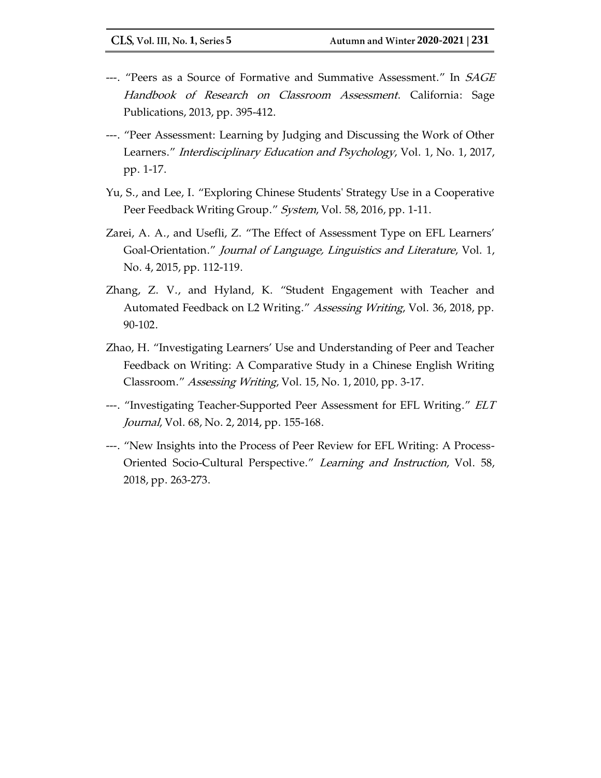- ---. "Peers as a Source of Formative and Summative Assessment." In SAGE Handbook of Research on Classroom Assessment. California: Sage Publications, 2013, pp. 395-412.
- ---. "Peer Assessment: Learning by Judging and Discussing the Work of Other Learners." *Interdisciplinary Education and Psychology*, Vol. 1, No. 1, 2017, pp. 1-17.
- Yu, S., and Lee, I. "Exploring Chinese Students' Strategy Use in a Cooperative Peer Feedback Writing Group." System, Vol. 58, 2016, pp. 1-11.
- Zarei, A. A., and Usefli, Z. "The Effect of Assessment Type on EFL Learners' Goal-Orientation." Journal of Language, Linguistics and Literature, Vol. 1, No. 4, 2015, pp. 112-119.
- Zhang, Z. V., and Hyland, K. "Student Engagement with Teacher and Automated Feedback on L2 Writing." Assessing Writing, Vol. 36, 2018, pp. 90-102.
- Zhao, H. "Investigating Learners' Use and Understanding of Peer and Teacher Feedback on Writing: A Comparative Study in a Chinese English Writing Classroom." Assessing Writing, Vol. 15, No. 1, 2010, pp. 3-17.
- ---. "Investigating Teacher-Supported Peer Assessment for EFL Writing." ELT Journal, Vol. 68, No. 2, 2014, pp. 155-168.
- ---. "New Insights into the Process of Peer Review for EFL Writing: A Process-Oriented Socio-Cultural Perspective." Learning and Instruction, Vol. 58, 2018, pp. 263-273.